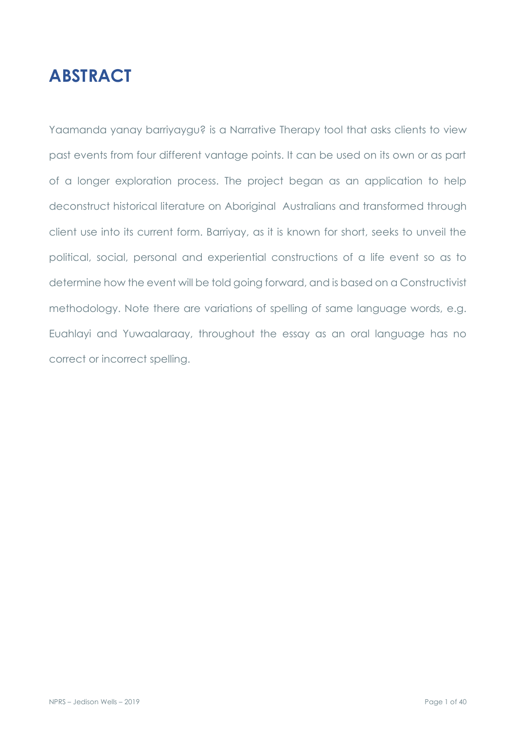# **ABSTRACT**

Yaamanda yanay barriyaygu? is a Narrative Therapy tool that asks clients to view past events from four different vantage points. It can be used on its own or as part of a longer exploration process. The project began as an application to help deconstruct historical literature on Aboriginal Australians and transformed through client use into its current form. Barriyay, as it is known for short, seeks to unveil the political, social, personal and experiential constructions of a life event so as to determine how the event will be told going forward, and is based on a Constructivist methodology. Note there are variations of spelling of same language words, e.g. Euahlayi and Yuwaalaraay, throughout the essay as an oral language has no correct or incorrect spelling.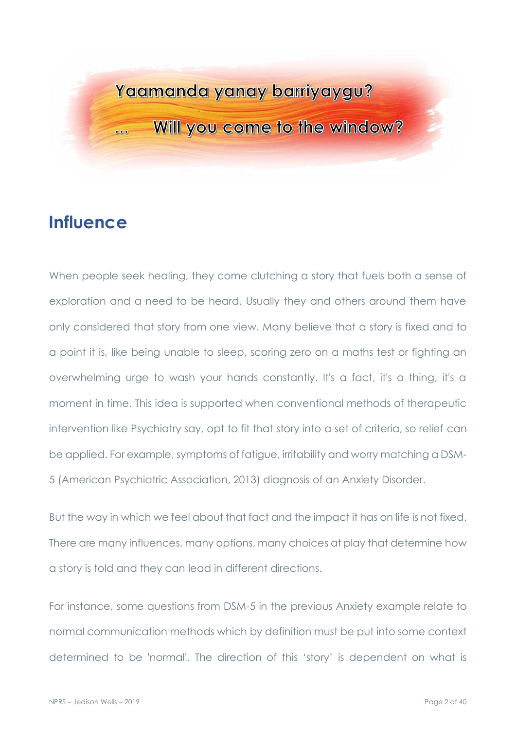# Yaamanda yanay barriyaygu?

Will you come to the window?

# **Influence**

 $000$ 

When people seek healing, they come clutching a story that fuels both a sense of exploration and a need to be heard. Usually they and others around them have only considered that story from one view. Many believe that a story is fixed and to a point it is, like being unable to sleep, scoring zero on a maths test or fighting an overwhelming urge to wash your hands constantly. It's a fact, it's a thing, it's a moment in time. This idea is supported when conventional methods of therapeutic intervention like Psychiatry say, opt to fit that story into a set of criteria, so relief can be applied. For example, symptoms of fatigue, irritability and worry matching a DSM-5 (American Psychiatric Association, 2013) diagnosis of an Anxiety Disorder.

But the way in which we feel about that fact and the impact it has on life is not fixed. There are many influences, many options, many choices at play that determine how a story is told and they can lead in different directions.

For instance, some questions from DSM-5 in the previous Anxiety example relate to normal communication methods which by definition must be put into some context determined to be 'normal'. The direction of this 'story' is dependent on what is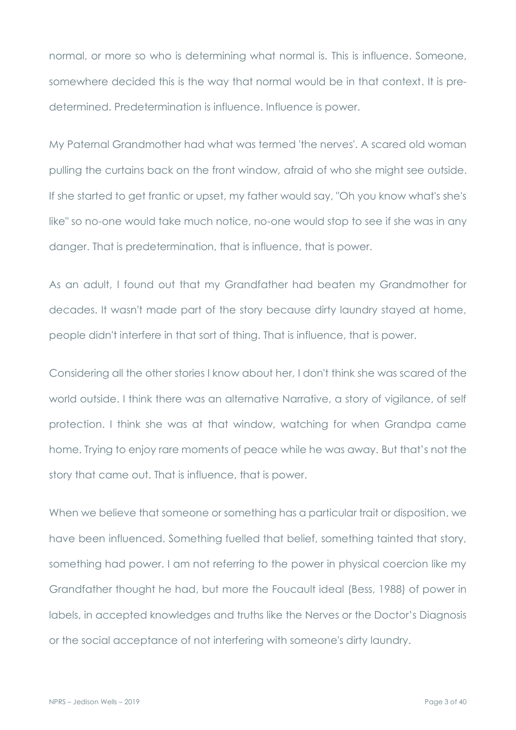normal, or more so who is determining what normal is. This is influence. Someone, somewhere decided this is the way that normal would be in that context. It is predetermined. Predetermination is influence. Influence is power.

My Paternal Grandmother had what was termed 'the nerves'. A scared old woman pulling the curtains back on the front window, afraid of who she might see outside. If she started to get frantic or upset, my father would say, "Oh you know what's she's like" so no-one would take much notice, no-one would stop to see if she was in any danger. That is predetermination, that is influence, that is power.

As an adult, I found out that my Grandfather had beaten my Grandmother for decades. It wasn't made part of the story because dirty laundry stayed at home, people didn't interfere in that sort of thing. That is influence, that is power.

Considering all the other stories I know about her, I don't think she was scared of the world outside. I think there was an alternative Narrative, a story of vigilance, of self protection. I think she was at that window, watching for when Grandpa came home. Trying to enjoy rare moments of peace while he was away. But that's not the story that came out. That is influence, that is power.

When we believe that someone or something has a particular trait or disposition, we have been influenced. Something fuelled that belief, something tainted that story, something had power. I am not referring to the power in physical coercion like my Grandfather thought he had, but more the Foucault ideal (Bess, 1988) of power in labels, in accepted knowledges and truths like the Nerves or the Doctor's Diagnosis or the social acceptance of not interfering with someone's dirty laundry.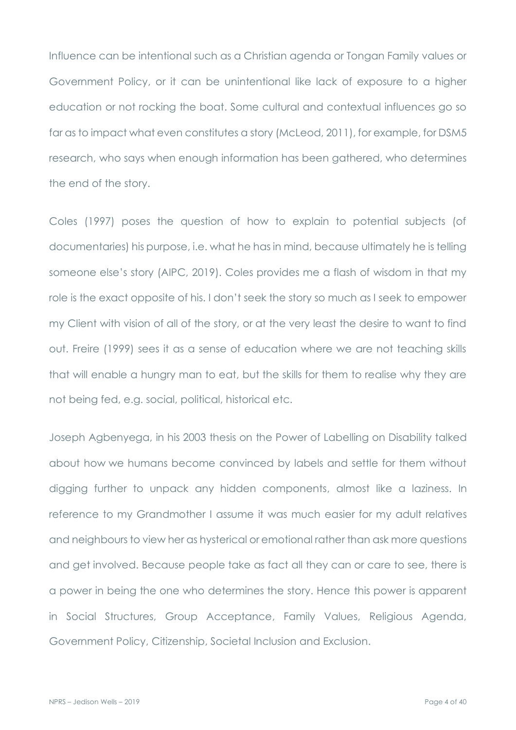Influence can be intentional such as a Christian agenda or Tongan Family values or Government Policy, or it can be unintentional like lack of exposure to a higher education or not rocking the boat. Some cultural and contextual influences go so far as to impact what even constitutes a story (McLeod, 2011), for example, for DSM5 research, who says when enough information has been gathered, who determines the end of the story.

Coles (1997) poses the question of how to explain to potential subjects (of documentaries) his purpose, i.e. what he has in mind, because ultimately he is telling someone else's story (AIPC, 2019). Coles provides me a flash of wisdom in that my role is the exact opposite of his. I don't seek the story so much as I seek to empower my Client with vision of all of the story, or at the very least the desire to want to find out. Freire (1999) sees it as a sense of education where we are not teaching skills that will enable a hungry man to eat, but the skills for them to realise why they are not being fed, e.g. social, political, historical etc.

Joseph Agbenyega, in his 2003 thesis on the Power of Labelling on Disability talked about how we humans become convinced by labels and settle for them without digging further to unpack any hidden components, almost like a laziness. In reference to my Grandmother I assume it was much easier for my adult relatives and neighbours to view her as hysterical or emotional rather than ask more questions and get involved. Because people take as fact all they can or care to see, there is a power in being the one who determines the story. Hence this power is apparent in Social Structures, Group Acceptance, Family Values, Religious Agenda, Government Policy, Citizenship, Societal Inclusion and Exclusion.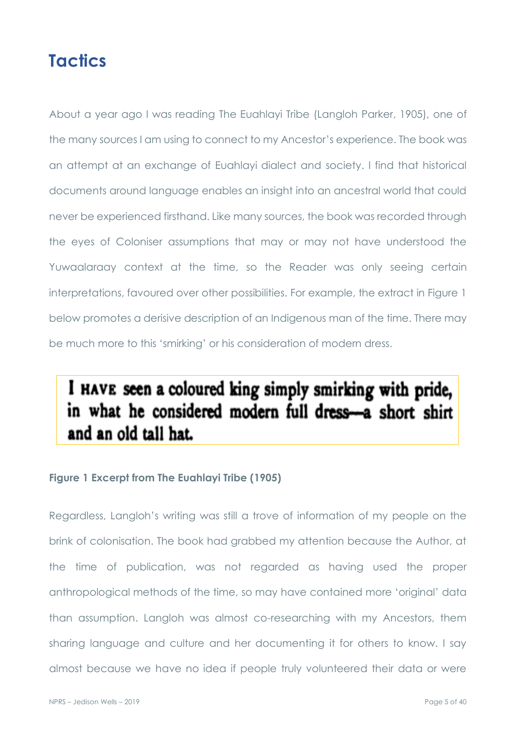# **Tactics**

About a year ago I was reading The Euahlayi Tribe (Langloh Parker, 1905), one of the many sources I am using to connect to my Ancestor's experience. The book was an attempt at an exchange of Euahlayi dialect and society. I find that historical documents around language enables an insight into an ancestral world that could never be experienced firsthand. Like many sources, the book was recorded through the eyes of Coloniser assumptions that may or may not have understood the Yuwaalaraay context at the time, so the Reader was only seeing certain interpretations, favoured over other possibilities. For example, the extract in Figure 1 below promotes a derisive description of an Indigenous man of the time. There may be much more to this 'smirking' or his consideration of modern dress.

# I HAVE seen a coloured king simply smirking with pride, in what he considered modern full dress-a short shirt and an old tall hat.

## **Figure 1 Excerpt from The Euahlayi Tribe (1905)**

Regardless, Langloh's writing was still a trove of information of my people on the brink of colonisation. The book had grabbed my attention because the Author, at the time of publication, was not regarded as having used the proper anthropological methods of the time, so may have contained more 'original' data than assumption. Langloh was almost co-researching with my Ancestors, them sharing language and culture and her documenting it for others to know. I say almost because we have no idea if people truly volunteered their data or were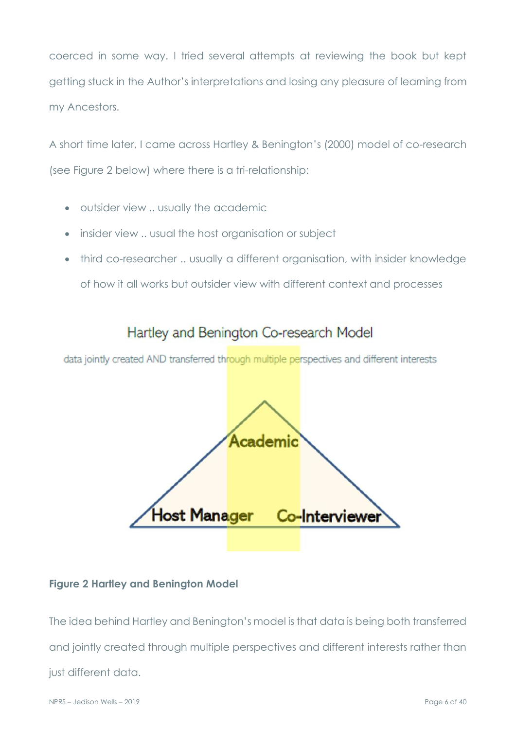coerced in some way. I tried several attempts at reviewing the book but kept getting stuck in the Author's interpretations and losing any pleasure of learning from my Ancestors.

A short time later, I came across Hartley & Benington's (2000) model of co-research (see Figure 2 below) where there is a tri-relationship:

- outsider view .. usually the academic
- insider view .. usual the host organisation or subject
- third co-researcher .. usually a different organisation, with insider knowledge of how it all works but outsider view with different context and processes

# Hartley and Benington Co-research Model

data jointly created AND transferred through multiple perspectives and different interests



### **Figure 2 Hartley and Benington Model**

The idea behind Hartley and Benington's model is that data is being both transferred and jointly created through multiple perspectives and different interests rather than just different data.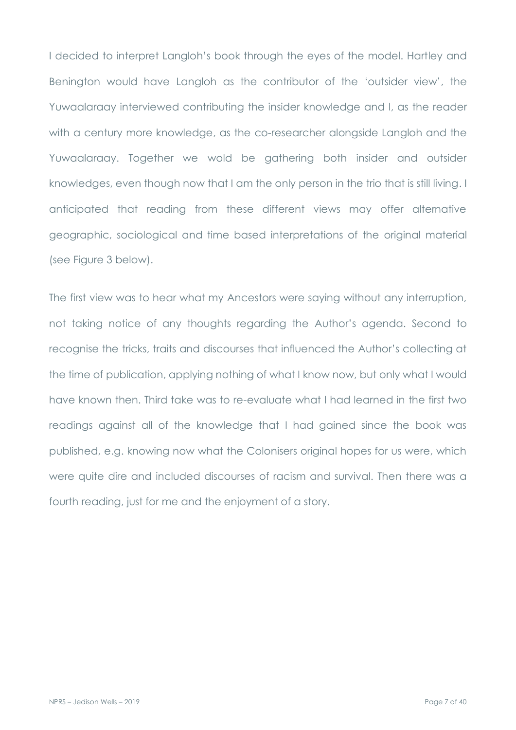I decided to interpret Langloh's book through the eyes of the model. Hartley and Benington would have Langloh as the contributor of the 'outsider view', the Yuwaalaraay interviewed contributing the insider knowledge and I, as the reader with a century more knowledge, as the co-researcher alongside Langloh and the Yuwaalaraay. Together we wold be gathering both insider and outsider knowledges, even though now that I am the only person in the trio that is still living. I anticipated that reading from these different views may offer alternative geographic, sociological and time based interpretations of the original material (see Figure 3 below).

The first view was to hear what my Ancestors were saying without any interruption, not taking notice of any thoughts regarding the Author's agenda. Second to recognise the tricks, traits and discourses that influenced the Author's collecting at the time of publication, applying nothing of what I know now, but only what I would have known then. Third take was to re-evaluate what I had learned in the first two readings against all of the knowledge that I had gained since the book was published, e.g. knowing now what the Colonisers original hopes for us were, which were quite dire and included discourses of racism and survival. Then there was a fourth reading, just for me and the enjoyment of a story.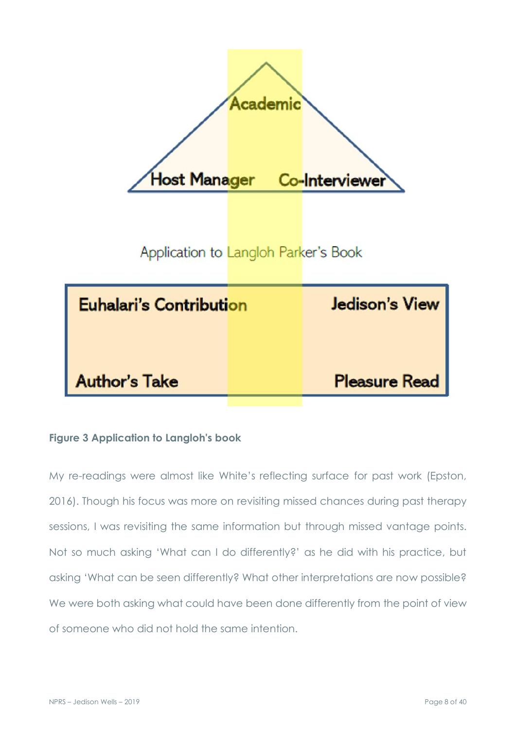

## **Figure 3 Application to Langloh's book**

My re-readings were almost like White's reflecting surface for past work (Epston, 2016). Though his focus was more on revisiting missed chances during past therapy sessions, I was revisiting the same information but through missed vantage points. Not so much asking 'What can I do differently?' as he did with his practice, but asking 'What can be seen differently? What other interpretations are now possible? We were both asking what could have been done differently from the point of view of someone who did not hold the same intention.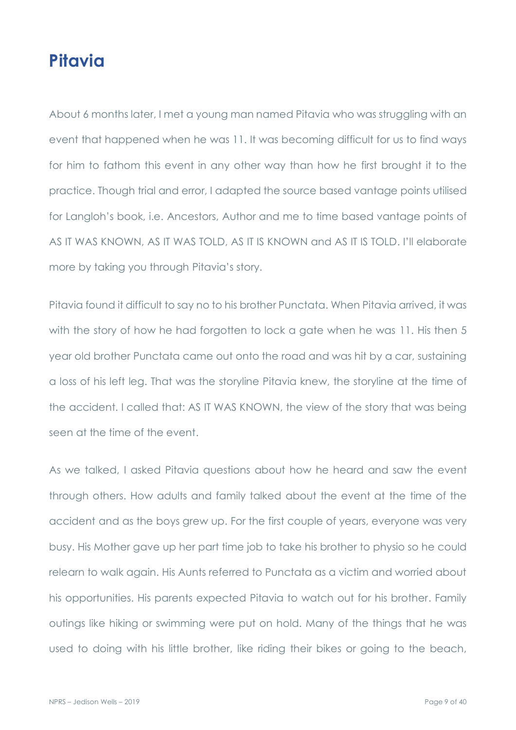# **Pitavia**

About 6 months later, I met a young man named Pitavia who was struggling with an event that happened when he was 11. It was becoming difficult for us to find ways for him to fathom this event in any other way than how he first brought it to the practice. Though trial and error, I adapted the source based vantage points utilised for Langloh's book, i.e. Ancestors, Author and me to time based vantage points of AS IT WAS KNOWN, AS IT WAS TOLD, AS IT IS KNOWN and AS IT IS TOLD. I'll elaborate more by taking you through Pitavia's story.

Pitavia found it difficult to say no to his brother Punctata. When Pitavia arrived, it was with the story of how he had forgotten to lock a gate when he was 11. His then 5 year old brother Punctata came out onto the road and was hit by a car, sustaining a loss of his left leg. That was the storyline Pitavia knew, the storyline at the time of the accident. I called that: AS IT WAS KNOWN, the view of the story that was being seen at the time of the event.

As we talked, I asked Pitavia questions about how he heard and saw the event through others. How adults and family talked about the event at the time of the accident and as the boys grew up. For the first couple of years, everyone was very busy. His Mother gave up her part time job to take his brother to physio so he could relearn to walk again. His Aunts referred to Punctata as a victim and worried about his opportunities. His parents expected Pitavia to watch out for his brother. Family outings like hiking or swimming were put on hold. Many of the things that he was used to doing with his little brother, like riding their bikes or going to the beach,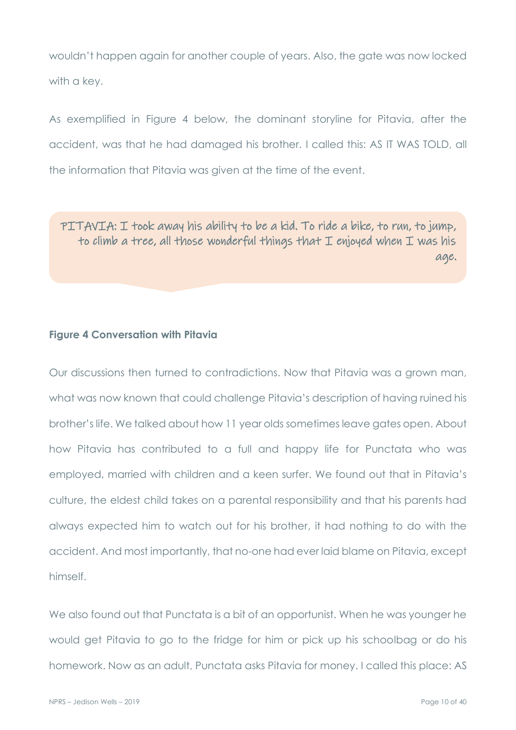wouldn't happen again for another couple of years. Also, the gate was now locked with a key.

As exemplified in Figure 4 below, the dominant storyline for Pitavia, after the accident, was that he had damaged his brother. I called this: AS IT WAS TOLD, all the information that Pitavia was given at the time of the event.

PITAVIA: I took away his ability to be a kid. To ride a bike, to run, to jump, to climb a tree, all those wonderful things that I enjoyed when I was his age.

#### **Figure 4 Conversation with Pitavia**

Our discussions then turned to contradictions. Now that Pitavia was a grown man, what was now known that could challenge Pitavia's description of having ruined his brother's life. We talked about how 11 year olds sometimes leave gates open. About how Pitavia has contributed to a full and happy life for Punctata who was employed, married with children and a keen surfer. We found out that in Pitavia's culture, the eldest child takes on a parental responsibility and that his parents had always expected him to watch out for his brother, it had nothing to do with the accident. And most importantly, that no-one had ever laid blame on Pitavia, except himself.

We also found out that Punctata is a bit of an opportunist. When he was younger he would get Pitavia to go to the fridge for him or pick up his schoolbag or do his homework. Now as an adult, Punctata asks Pitavia for money. I called this place: AS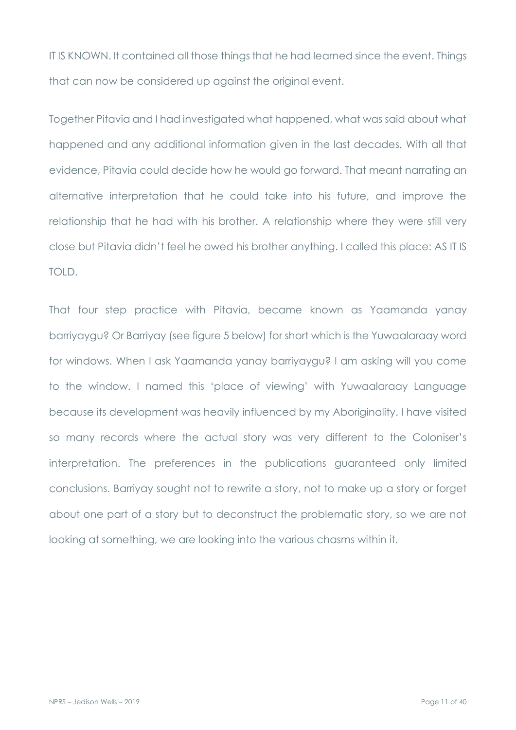IT IS KNOWN. It contained all those things that he had learned since the event. Things that can now be considered up against the original event.

Together Pitavia and I had investigated what happened, what was said about what happened and any additional information given in the last decades. With all that evidence, Pitavia could decide how he would go forward. That meant narrating an alternative interpretation that he could take into his future, and improve the relationship that he had with his brother. A relationship where they were still very close but Pitavia didn't feel he owed his brother anything. I called this place: AS IT IS TOLD.

That four step practice with Pitavia, became known as Yaamanda yanay barriyaygu? Or Barriyay (see figure 5 below) for short which is the Yuwaalaraay word for windows. When I ask Yaamanda yanay barriyaygu? I am asking will you come to the window. I named this 'place of viewing' with Yuwaalaraay Language because its development was heavily influenced by my Aboriginality. I have visited so many records where the actual story was very different to the Coloniser's interpretation. The preferences in the publications guaranteed only limited conclusions. Barriyay sought not to rewrite a story, not to make up a story or forget about one part of a story but to deconstruct the problematic story, so we are not looking at something, we are looking into the various chasms within it.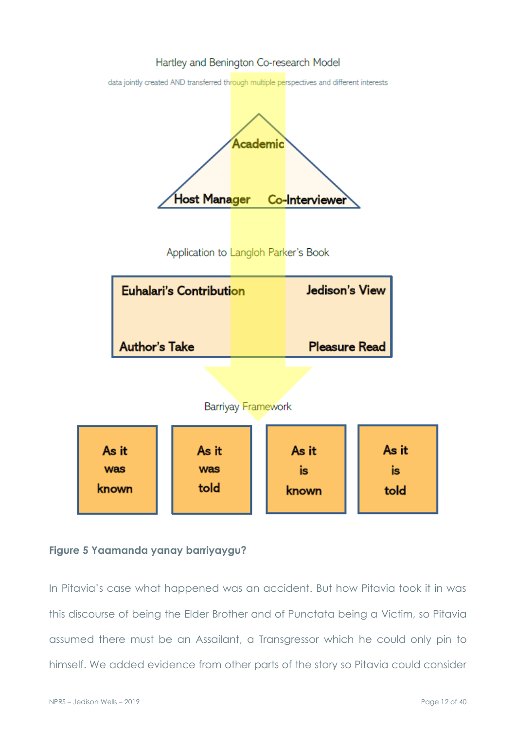#### Hartley and Benington Co-research Model

data jointly created AND transferred through multiple perspectives and different interests



### **Figure 5 Yaamanda yanay barriyaygu?**

In Pitavia's case what happened was an accident. But how Pitavia took it in was this discourse of being the Elder Brother and of Punctata being a Victim, so Pitavia assumed there must be an Assailant, a Transgressor which he could only pin to himself. We added evidence from other parts of the story so Pitavia could consider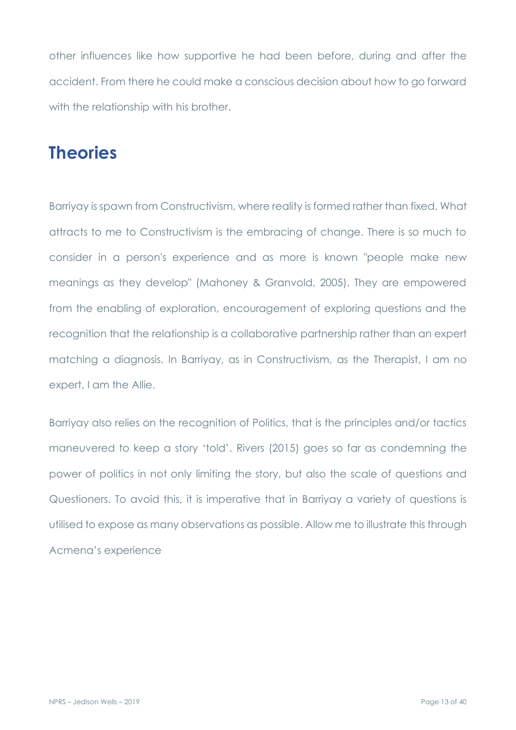other influences like how supportive he had been before, during and after the accident. From there he could make a conscious decision about how to go forward with the relationship with his brother.

# **Theories**

Barriyay is spawn from Constructivism, where reality is formed rather than fixed. What attracts to me to Constructivism is the embracing of change. There is so much to consider in a person's experience and as more is known "people make new meanings as they develop" (Mahoney & Granvold, 2005). They are empowered from the enabling of exploration, encouragement of exploring questions and the recognition that the relationship is a collaborative partnership rather than an expert matching a diagnosis. In Barriyay, as in Constructivism, as the Therapist, I am no expert, I am the Allie.

Barriyay also relies on the recognition of Politics, that is the principles and/or tactics maneuvered to keep a story 'told'. Rivers (2015) goes so far as condemning the power of politics in not only limiting the story, but also the scale of questions and Questioners. To avoid this, it is imperative that in Barriyay a variety of questions is utilised to expose as many observations as possible. Allow me to illustrate this through Acmena's experience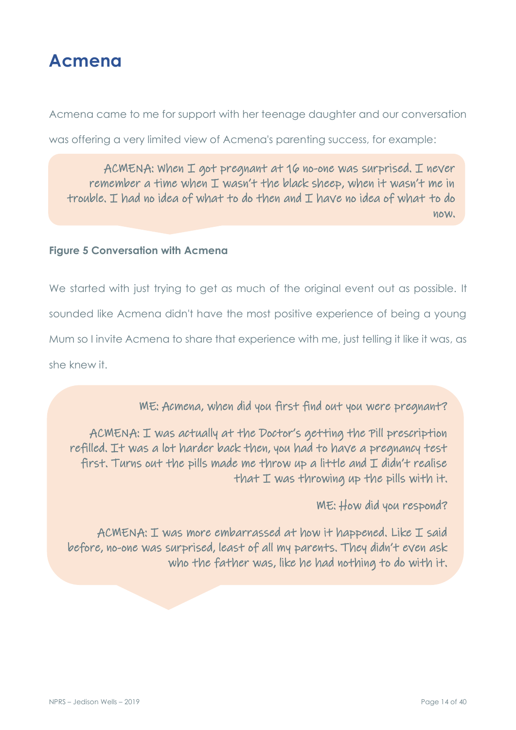

Acmena came to me for support with her teenage daughter and our conversation

was offering a very limited view of Acmena's parenting success, for example:

ACMENA: When I got pregnant at 16 no-one was surprised. I never remember a time when I wasn't the black sheep, when it wasn't me in trouble. I had no idea of what to do then and I have no idea of what to do now.

### **Figure 5 Conversation with Acmena**

We started with just trying to get as much of the original event out as possible. It sounded like Acmena didn't have the most positive experience of being a young Mum so I invite Acmena to share that experience with me, just telling it like it was, as she knew it.

ME: Acmena, when did you first find out you were pregnant?

ACMENA: I was actually at the Doctor's getting the Pill prescription refilled. It was a lot harder back then, you had to have a pregnancy test first. Turns out the pills made me throw up a little and  $I$  didn't realise that I was throwing up the pills with it.

ME: How did you respond?

ACMENA: I was more embarrassed at how it happened. Like I said before, no-one was surprised, least of all my parents. They didn't even ask who the father was, like he had nothing to do with it.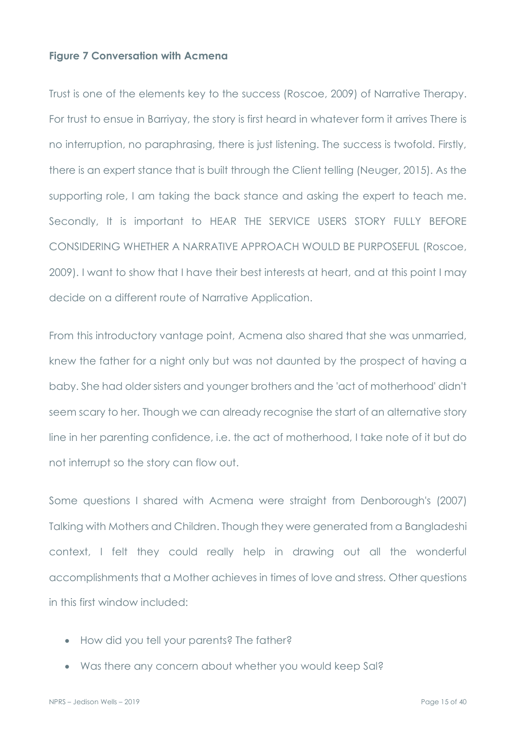#### **Figure 7 Conversation with Acmena**

Trust is one of the elements key to the success (Roscoe, 2009) of Narrative Therapy. For trust to ensue in Barriyay, the story is first heard in whatever form it arrives There is no interruption, no paraphrasing, there is just listening. The success is twofold. Firstly, there is an expert stance that is built through the Client telling (Neuger, 2015). As the supporting role, I am taking the back stance and asking the expert to teach me. Secondly, It is important to HEAR THE SERVICE USERS STORY FULLY BEFORE CONSIDERING WHETHER A NARRATIVE APPROACH WOULD BE PURPOSEFUL (Roscoe, 2009). I want to show that I have their best interests at heart, and at this point I may decide on a different route of Narrative Application.

From this introductory vantage point, Acmena also shared that she was unmarried, knew the father for a night only but was not daunted by the prospect of having a baby. She had older sisters and younger brothers and the 'act of motherhood' didn't seem scary to her. Though we can already recognise the start of an alternative story line in her parenting confidence, i.e. the act of motherhood, I take note of it but do not interrupt so the story can flow out.

Some questions I shared with Acmena were straight from Denborough's (2007) Talking with Mothers and Children. Though they were generated from a Bangladeshi context, I felt they could really help in drawing out all the wonderful accomplishments that a Mother achieves in times of love and stress. Other questions in this first window included:

- How did you tell your parents? The father?
- Was there any concern about whether you would keep Sal?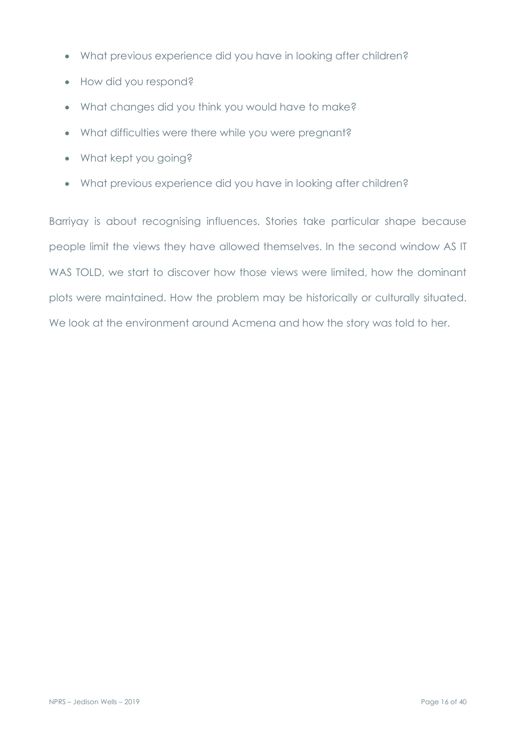- What previous experience did you have in looking after children?
- How did you respond?
- What changes did you think you would have to make?
- What difficulties were there while you were pregnant?
- What kept you going?
- What previous experience did you have in looking after children?

Barriyay is about recognising influences. Stories take particular shape because people limit the views they have allowed themselves. In the second window AS IT WAS TOLD, we start to discover how those views were limited, how the dominant plots were maintained. How the problem may be historically or culturally situated. We look at the environment around Acmena and how the story was told to her.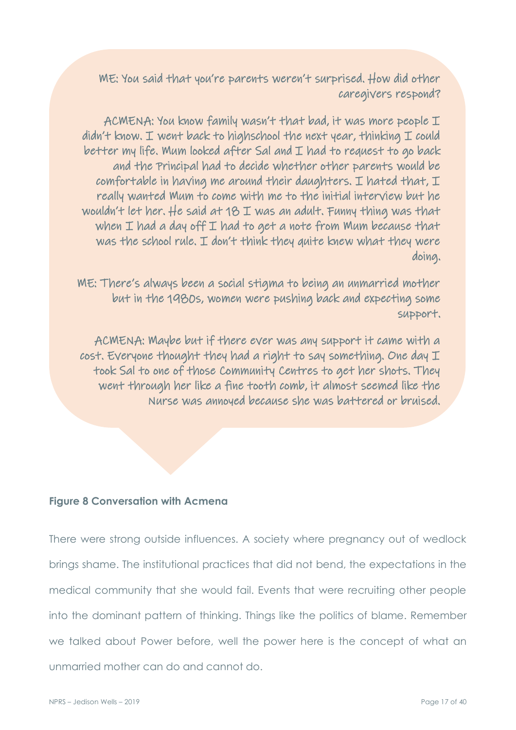ME: You said that you're parents weren't surprised. How did other caregivers respond?

ACMENA: You know family wasn't that bad, it was more people I didn't know. I went back to highschool the next year, thinking I could better my life. Mum looked after Sal and I had to request to go back and the Principal had to decide whether other parents would be comfortable in having me around their daughters. I hated that,  $I$ really wanted Mum to come with me to the initial interview but he wouldn't let her. He said at 18 I was an adult. Funny thing was that when I had a day off I had to get a note from Mum because that was the school rule. I don't think they quite knew what they were doing.

ME: There's always been a social stigma to being an unmarried mother but in the 1980s, women were pushing back and expecting some support.

ACMENA: Maybe but if there ever was any support it came with a cost. Everyone thought they had a right to say something. One day I took Sal to one of those Community Centres to get her shots. They went through her like a fine tooth comb, it almost seemed like the Nurse was annoyed because she was battered or bruised.

#### **Figure 8 Conversation with Acmena**

There were strong outside influences. A society where pregnancy out of wedlock brings shame. The institutional practices that did not bend, the expectations in the medical community that she would fail. Events that were recruiting other people into the dominant pattern of thinking. Things like the politics of blame. Remember we talked about Power before, well the power here is the concept of what an unmarried mother can do and cannot do.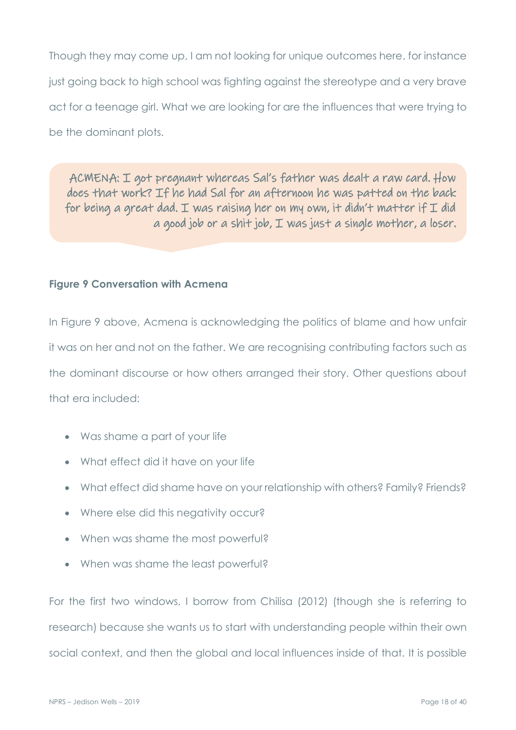Though they may come up, I am not looking for unique outcomes here, for instance just going back to high school was fighting against the stereotype and a very brave act for a teenage girl. What we are looking for are the influences that were trying to be the dominant plots.

ACMENA: I got pregnant whereas Sal's father was dealt a raw card. How does that work? If he had Sal for an afternoon he was patted on the back for being a great dad. I was raising her on my own, it didn't matter if  $I$  did a good job or a shit job, I was just a single mother, a loser.

## **Figure 9 Conversation with Acmena**

In Figure 9 above, Acmena is acknowledging the politics of blame and how unfair it was on her and not on the father. We are recognising contributing factors such as the dominant discourse or how others arranged their story. Other questions about that era included:

- Was shame a part of your life
- What effect did it have on your life
- What effect did shame have on your relationship with others? Family? Friends?
- Where else did this negativity occur?
- When was shame the most powerful?
- When was shame the least powerful?

For the first two windows, I borrow from Chilisa (2012) (though she is referring to research) because she wants us to start with understanding people within their own social context, and then the global and local influences inside of that. It is possible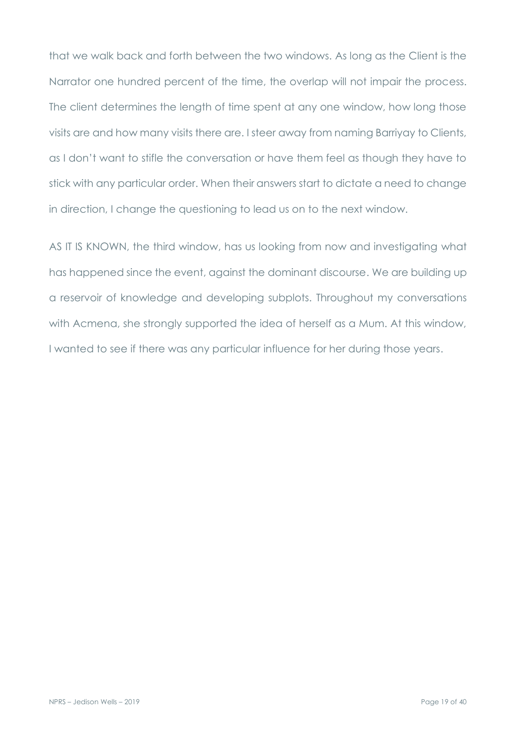that we walk back and forth between the two windows. As long as the Client is the Narrator one hundred percent of the time, the overlap will not impair the process. The client determines the length of time spent at any one window, how long those visits are and how many visits there are. I steer away from naming Barriyay to Clients, as I don't want to stifle the conversation or have them feel as though they have to stick with any particular order. When their answers start to dictate a need to change in direction, I change the questioning to lead us on to the next window.

AS IT IS KNOWN, the third window, has us looking from now and investigating what has happened since the event, against the dominant discourse. We are building up a reservoir of knowledge and developing subplots. Throughout my conversations with Acmena, she strongly supported the idea of herself as a Mum. At this window, I wanted to see if there was any particular influence for her during those years.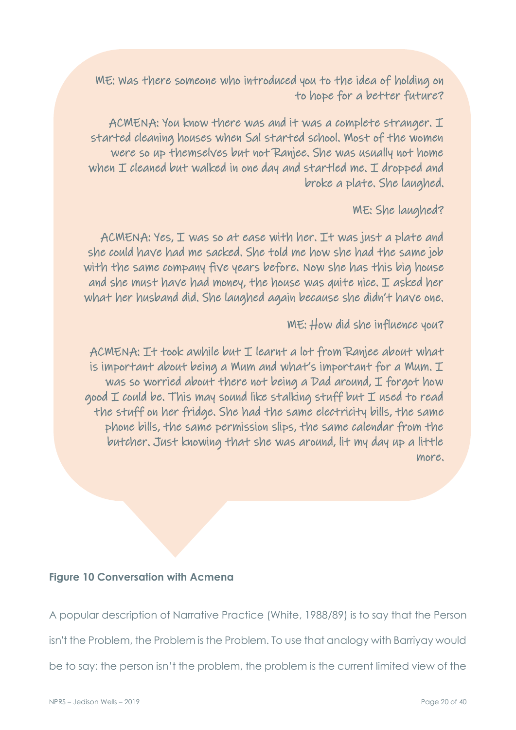ME: Was there someone who introduced you to the idea of holding on to hope for a better future?

ACMENA: You know there was and it was a complete stranger. I started cleaning houses when Sal started school. Most of the women were so up themselves but not Ranjee. She was usually not home when I cleaned but walked in one day and startled me. I dropped and broke a plate. She laughed.

### ME: She laughed?

ACMENA: Yes, I was so at ease with her. It was just a plate and she could have had me sacked. She told me how she had the same job with the same company five years before. Now she has this big house and she must have had money, the house was quite nice. I asked her what her husband did. She laughed again because she didn't have one.

## ME: How did she influence you?

ACMENA: It took awhile but I learnt a lot from Ranjee about what is important about being a Mum and what's important for a Mum. I was so worried about there not being a Dad around, I forgot how good I could be. This may sound like stalking stuff but I used to read the stuff on her fridge. She had the same electricity bills, the same phone bills, the same permission slips, the same calendar from the butcher. Just knowing that she was around, lit my day up a little more.

#### **Figure 10 Conversation with Acmena**

A popular description of Narrative Practice (White, 1988/89) is to say that the Person isn't the Problem, the Problem is the Problem. To use that analogy with Barriyay would be to say: the person isn't the problem, the problem is the current limited view of the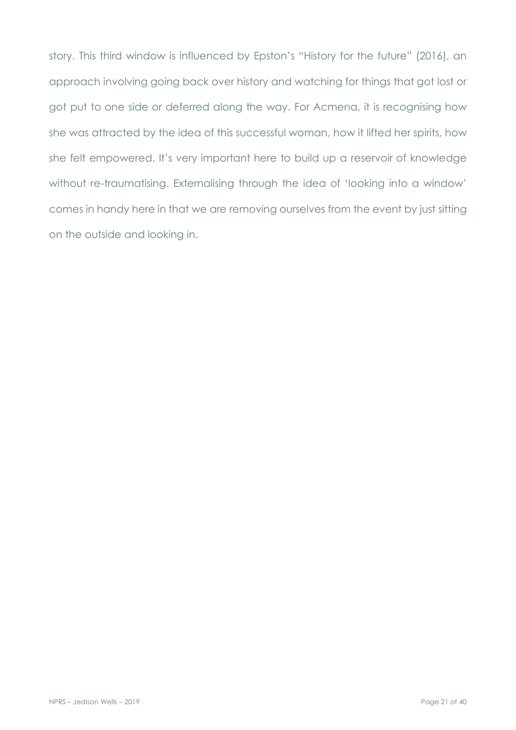story. This third window is influenced by Epston's "History for the future" (2016), an approach involving going back over history and watching for things that got lost or got put to one side or deferred along the way. For Acmena, it is recognising how she was attracted by the idea of this successful woman, how it lifted her spirits, how she felt empowered. It's very important here to build up a reservoir of knowledge without re-traumatising. Externalising through the idea of 'looking into a window' comes in handy here in that we are removing ourselves from the event by just sitting on the outside and looking in.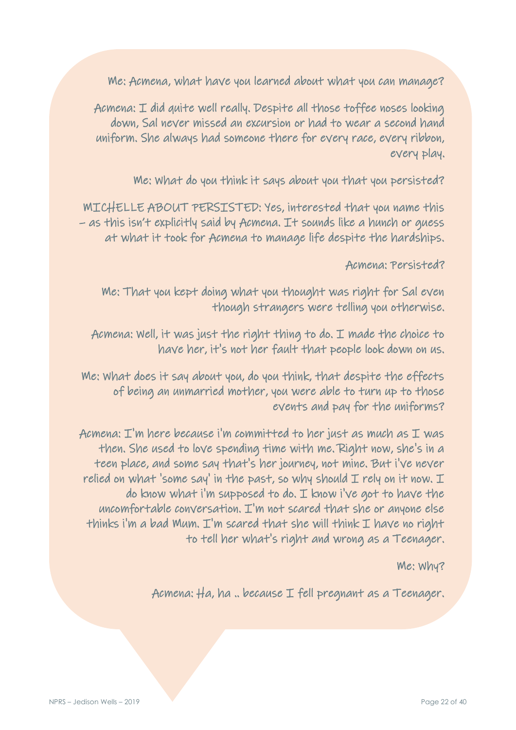Me: Acmena, what have you learned about what you can manage?

Acmena: I did quite well really. Despite all those toffee noses looking down, Sal never missed an excursion or had to wear a second hand uniform. She always had someone there for every race, every ribbon, every play.

Me: What do you think it says about you that you persisted?

MICHELLE ABOUT PERSISTED: Yes, interested that you name this – as this isn't explicitly said by Acmena. It sounds like a hunch or guess at what it took for Acmena to manage life despite the hardships.

## Acmena: Persisted?

Me: That you kept doing what you thought was right for Sal even though strangers were telling you otherwise.

Acmena: Well, it was just the right thing to do. I made the choice to have her, it's not her fault that people look down on us.

Me: What does it say about you, do you think, that despite the effects of being an unmarried mother, you were able to turn up to those events and pay for the uniforms?

Acmena: I'm here because i'm committed to her just as much as I was then. She used to love spending time with me. Right now, she's in a teen place, and some say that's her journey, not mine. But i've never relied on what 'some say' in the past, so why should  $I$  rely on it now.  $I$ do know what i'm supposed to do. I know i've got to have the uncomfortable conversation. I'm not scared that she or anyone else thinks i'm a bad Mum.  $I'm$  scared that she will think  $I$  have no right to tell her what's right and wrong as a Teenager.

## Me: Why?

Acmena: Ha, ha .. because I fell pregnant as a Teenager.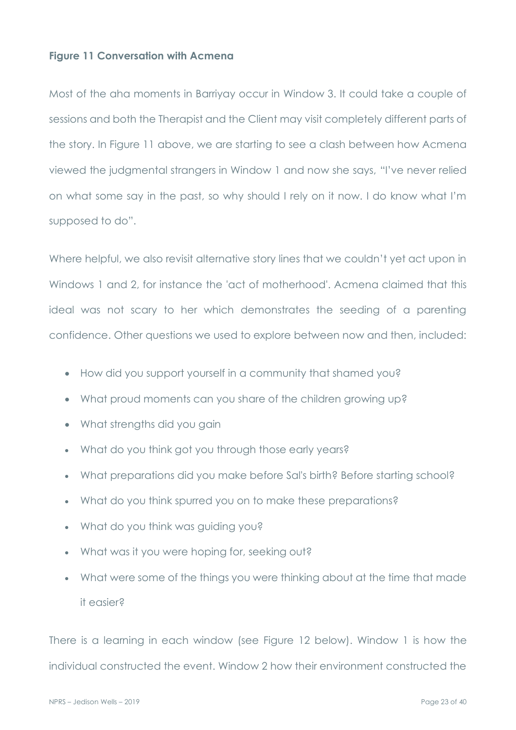#### **Figure 11 Conversation with Acmena**

Most of the aha moments in Barriyay occur in Window 3. It could take a couple of sessions and both the Therapist and the Client may visit completely different parts of the story. In Figure 11 above, we are starting to see a clash between how Acmena viewed the judgmental strangers in Window 1 and now she says, "I've never relied on what some say in the past, so why should I rely on it now. I do know what I'm supposed to do".

Where helpful, we also revisit alternative story lines that we couldn't yet act upon in Windows 1 and 2, for instance the 'act of motherhood'. Acmena claimed that this ideal was not scary to her which demonstrates the seeding of a parenting confidence. Other questions we used to explore between now and then, included:

- How did you support yourself in a community that shamed you?
- What proud moments can you share of the children growing up?
- What strengths did you gain
- What do you think got you through those early years?
- What preparations did you make before Sal's birth? Before starting school?
- What do you think spurred you on to make these preparations?
- What do you think was guiding you?
- What was it you were hoping for, seeking out?
- What were some of the things you were thinking about at the time that made it easier?

There is a learning in each window (see Figure 12 below). Window 1 is how the individual constructed the event. Window 2 how their environment constructed the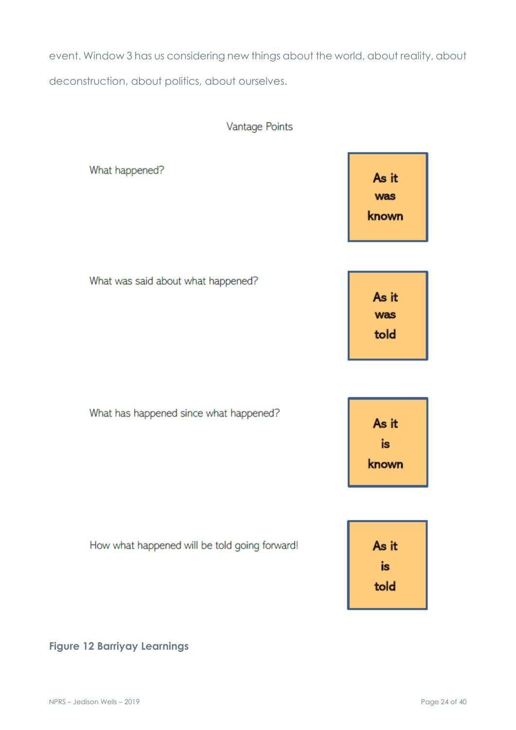event. Window 3 has us considering new things about the world, about reality, about deconstruction, about politics, about ourselves.

## Vantage Points

What happened?

As it was known

| What was said about what happened? |       |
|------------------------------------|-------|
|                                    | As it |
|                                    | was   |
|                                    | told  |
|                                    |       |

What has happened since what happened? As it is known

| How what happened will be told going forward! | As it      |
|-----------------------------------------------|------------|
|                                               | İS<br>told |
|                                               |            |

## **Figure 12 Barriyay Learnings**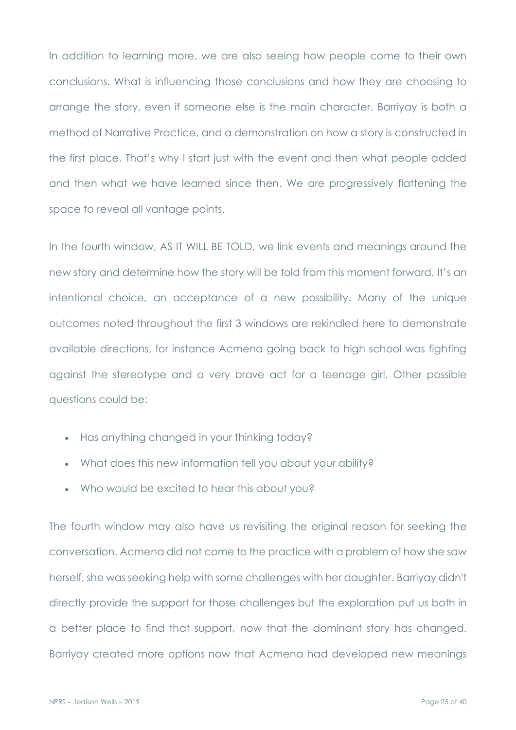In addition to learning more, we are also seeing how people come to their own conclusions. What is influencing those conclusions and how they are choosing to arrange the story, even if someone else is the main character. Barriyay is both a method of Narrative Practice, and a demonstration on how a story is constructed in the first place. That's why I start just with the event and then what people added and then what we have learned since then. We are progressively flattening the space to reveal all vantage points.

In the fourth window, AS IT WILL BE TOLD, we link events and meanings around the new story and determine how the story will be told from this moment forward. It's an intentional choice, an acceptance of a new possibility. Many of the unique outcomes noted throughout the first 3 windows are rekindled here to demonstrate available directions, for instance Acmena going back to high school was fighting against the stereotype and a very brave act for a teenage girl. Other possible questions could be:

- Has anything changed in your thinking today?
- What does this new information tell you about your ability?
- Who would be excited to hear this about you?

The fourth window may also have us revisiting the original reason for seeking the conversation. Acmena did not come to the practice with a problem of how she saw herself, she was seeking help with some challenges with her daughter. Barriyay didn't directly provide the support for those challenges but the exploration put us both in a better place to find that support, now that the dominant story has changed. Barriyay created more options now that Acmena had developed new meanings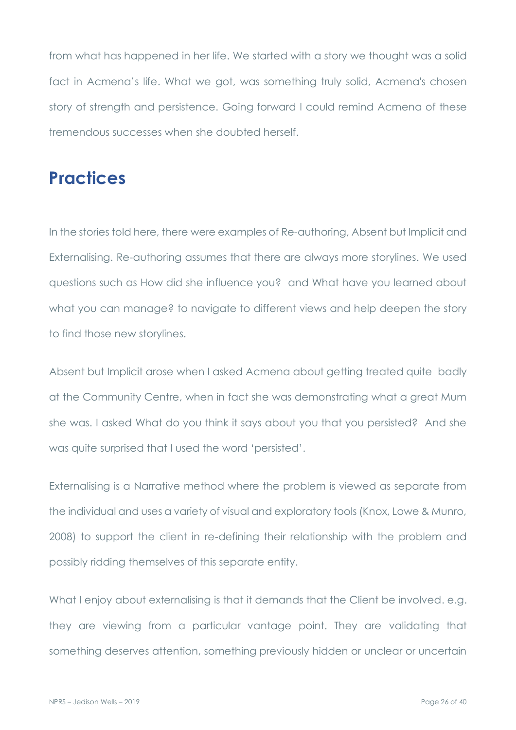from what has happened in her life. We started with a story we thought was a solid fact in Acmena's life. What we got, was something truly solid, Acmena's chosen story of strength and persistence. Going forward I could remind Acmena of these tremendous successes when she doubted herself.

# **Practices**

In the stories told here, there were examples of Re-authoring, Absent but Implicit and Externalising. Re-authoring assumes that there are always more storylines. We used questions such as How did she influence you? and What have you learned about what you can manage? to navigate to different views and help deepen the story to find those new storylines.

Absent but Implicit arose when I asked Acmena about getting treated quite badly at the Community Centre, when in fact she was demonstrating what a great Mum she was. I asked What do you think it says about you that you persisted? And she was quite surprised that I used the word 'persisted'.

Externalising is a Narrative method where the problem is viewed as separate from the individual and uses a variety of visual and exploratory tools (Knox, Lowe & Munro, 2008) to support the client in re-defining their relationship with the problem and possibly ridding themselves of this separate entity.

What I enjoy about externalising is that it demands that the Client be involved. e.g. they are viewing from a particular vantage point. They are validating that something deserves attention, something previously hidden or unclear or uncertain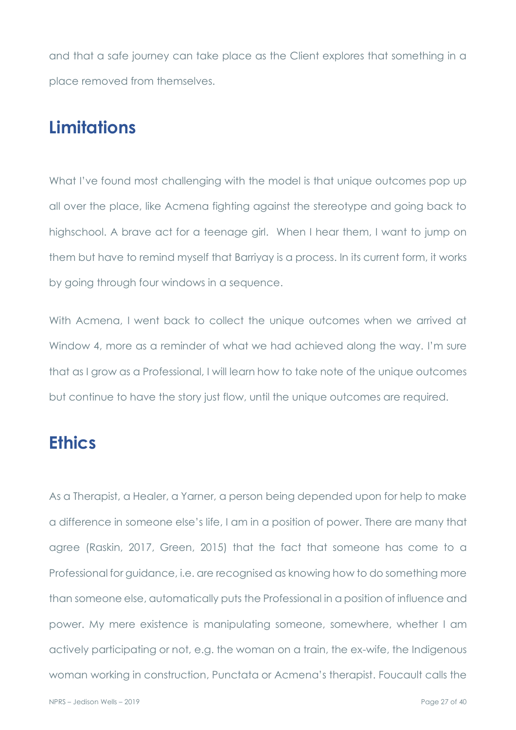and that a safe journey can take place as the Client explores that something in a place removed from themselves.

# **Limitations**

What I've found most challenging with the model is that unique outcomes pop up all over the place, like Acmena fighting against the stereotype and going back to highschool. A brave act for a teenage girl. When I hear them, I want to jump on them but have to remind myself that Barriyay is a process. In its current form, it works by going through four windows in a sequence.

With Acmena, I went back to collect the unique outcomes when we arrived at Window 4, more as a reminder of what we had achieved along the way. I'm sure that as I grow as a Professional, I will learn how to take note of the unique outcomes but continue to have the story just flow, until the unique outcomes are required.

# **Ethics**

As a Therapist, a Healer, a Yarner, a person being depended upon for help to make a difference in someone else's life, I am in a position of power. There are many that agree (Raskin, 2017, Green, 2015) that the fact that someone has come to a Professional for guidance, i.e. are recognised as knowing how to do something more than someone else, automatically puts the Professional in a position of influence and power. My mere existence is manipulating someone, somewhere, whether I am actively participating or not, e.g. the woman on a train, the ex-wife, the Indigenous woman working in construction, Punctata or Acmena's therapist. Foucault calls the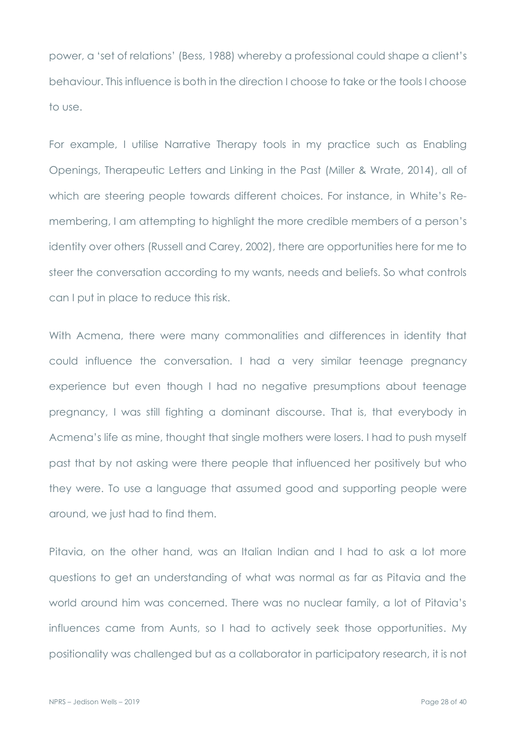power, a 'set of relations' (Bess, 1988) whereby a professional could shape a client's behaviour. This influence is both in the direction I choose to take or the tools I choose to use.

For example, I utilise Narrative Therapy tools in my practice such as Enabling Openings, Therapeutic Letters and Linking in the Past (Miller & Wrate, 2014), all of which are steering people towards different choices. For instance, in White's Remembering, I am attempting to highlight the more credible members of a person's identity over others (Russell and Carey, 2002), there are opportunities here for me to steer the conversation according to my wants, needs and beliefs. So what controls can I put in place to reduce this risk.

With Acmena, there were many commonalities and differences in identity that could influence the conversation. I had a very similar teenage pregnancy experience but even though I had no negative presumptions about teenage pregnancy, I was still fighting a dominant discourse. That is, that everybody in Acmena's life as mine, thought that single mothers were losers. I had to push myself past that by not asking were there people that influenced her positively but who they were. To use a language that assumed good and supporting people were around, we just had to find them.

Pitavia, on the other hand, was an Italian Indian and I had to ask a lot more questions to get an understanding of what was normal as far as Pitavia and the world around him was concerned. There was no nuclear family, a lot of Pitavia's influences came from Aunts, so I had to actively seek those opportunities. My positionality was challenged but as a collaborator in participatory research, it is not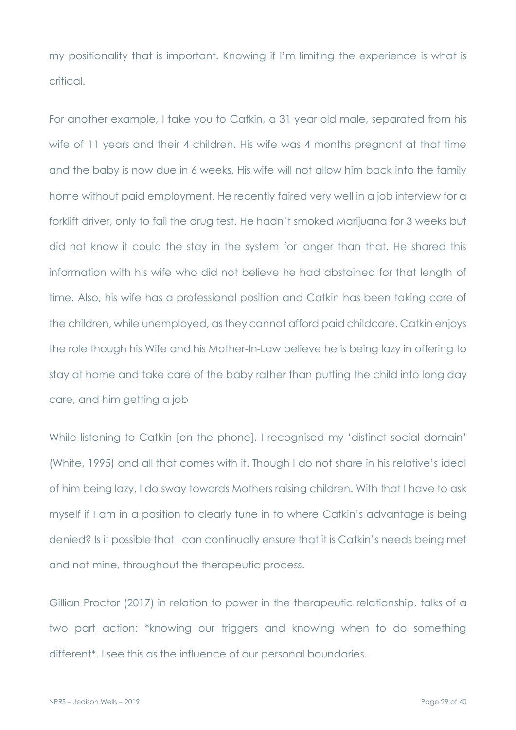my positionality that is important. Knowing if I'm limiting the experience is what is critical.

For another example, I take you to Catkin, a 31 year old male, separated from his wife of 11 years and their 4 children. His wife was 4 months pregnant at that time and the baby is now due in 6 weeks. His wife will not allow him back into the family home without paid employment. He recently faired very well in a job interview for a forklift driver, only to fail the drug test. He hadn't smoked Marijuana for 3 weeks but did not know it could the stay in the system for longer than that. He shared this information with his wife who did not believe he had abstained for that length of time. Also, his wife has a professional position and Catkin has been taking care of the children, while unemployed, as they cannot afford paid childcare. Catkin enjoys the role though his Wife and his Mother-In-Law believe he is being lazy in offering to stay at home and take care of the baby rather than putting the child into long day care, and him getting a job

While listening to Catkin [on the phone], I recognised my 'distinct social domain' (White, 1995) and all that comes with it. Though I do not share in his relative's ideal of him being lazy, I do sway towards Mothers raising children. With that I have to ask myself if I am in a position to clearly tune in to where Catkin's advantage is being denied? Is it possible that I can continually ensure that it is Catkin's needs being met and not mine, throughout the therapeutic process.

Gillian Proctor (2017) in relation to power in the therapeutic relationship, talks of a two part action: \*knowing our triggers and knowing when to do something different\*. I see this as the influence of our personal boundaries.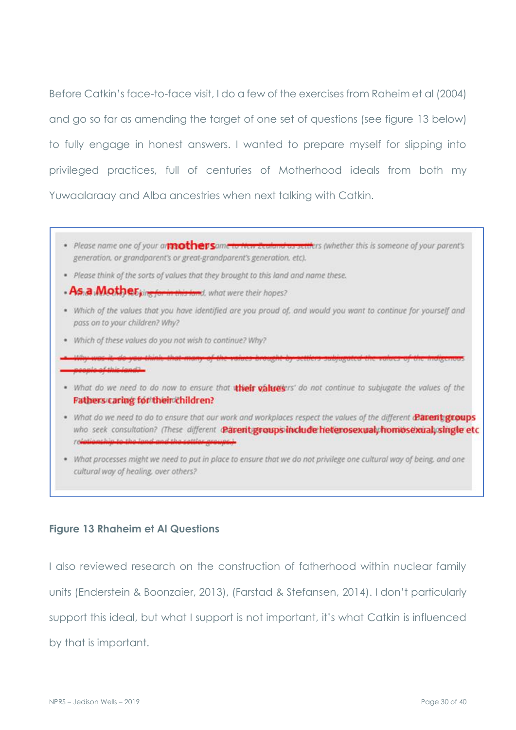Before Catkin's face-to-face visit, I do a few of the exercises from Raheim et al (2004) and go so far as amending the target of one set of questions (see figure 13 below) to fully engage in honest answers. I wanted to prepare myself for slipping into privileged practices, full of centuries of Motherhood ideals from both my Yuwaalaraay and Alba ancestries when next talking with Catkin.

- · Please name one of your anticomputation contents are related to a setting (whether this is someone of your parent's generation, or grandparent's or great-grandparent's generation, etc).
- . Please think of the sorts of values that they brought to this land and name these.
- As.a. Mother; in this land, what were their hopes?
- . Which of the values that you have identified are you proud of, and would you want to continue for yourself and pass on to your children? Why?
- . Which of these values do you not wish to continue? Why?
- monda of this loads
- . What do we need to do now to ensure that their values'rs' do not continue to subjugate the values of the Fathers caring for their children?
- . What do we need to do to ensure that our work and workplaces respect the values of the different @arent groups who seek consultation? (These different Parent groups include heterosexual, homosexual, single etc
- . What processes might we need to put in place to ensure that we do not privilege one cultural way of being, and one cultural way of healing, over others?

#### **Figure 13 Rhaheim et Al Questions**

I also reviewed research on the construction of fatherhood within nuclear family units (Enderstein & Boonzaier, 2013), (Farstad & Stefansen, 2014). I don't particularly support this ideal, but what I support is not important, it's what Catkin is influenced by that is important.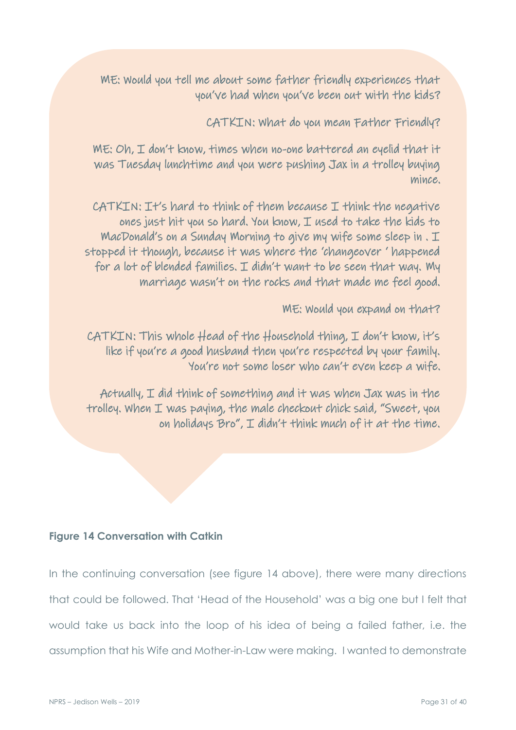ME: Would you tell me about some father friendly experiences that you've had when you've been out with the kids?

CATKIN: What do you mean Father Friendly?

ME: Oh, I don't know, times when no-one battered an eyelid that it was Tuesday lunchtime and you were pushing Jax in a trolley buying mince.

CATKIN: It's hard to think of them because I think the negative ones just hit you so hard. You know, I used to take the kids to MacDonald's on a Sunday Morning to give my wife some sleep in . I stopped it though, because it was where the 'changeover ' happened for a lot of blended families. I didn't want to be seen that way. My marriage wasn't on the rocks and that made me feel good.

ME: Would you expand on that?

 $CATKIN:$  This whole  $Head$  of the  $H$ ousehold thing,  $I$  don't know, it's like if you're a good husband then you're respected by your family. You're not some loser who can't even keep a wife.

Actually, I did think of something and it was when Jax was in the trolley. When I was paying, the male checkout chick said, "Sweet, you on holidays Bro", I didn't think much of it at the time.

### **Figure 14 Conversation with Catkin**

In the continuing conversation (see figure 14 above), there were many directions that could be followed. That 'Head of the Household' was a big one but I felt that would take us back into the loop of his idea of being a failed father, i.e. the assumption that his Wife and Mother-in-Law were making. I wanted to demonstrate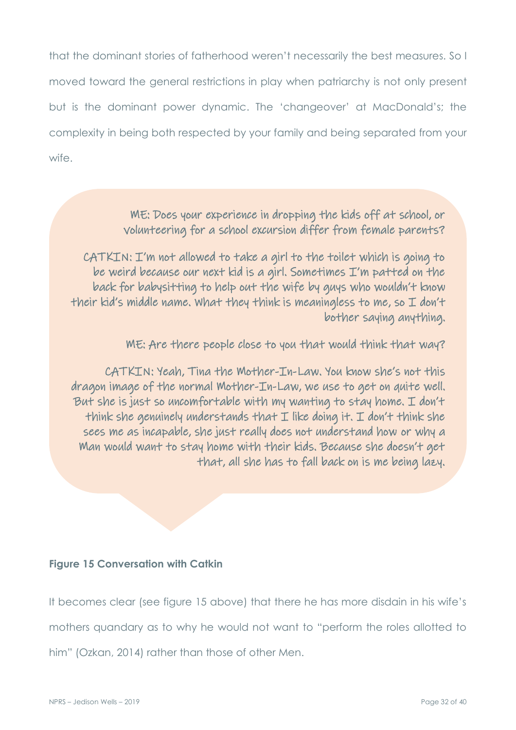that the dominant stories of fatherhood weren't necessarily the best measures. So I moved toward the general restrictions in play when patriarchy is not only present but is the dominant power dynamic. The 'changeover' at MacDonald's; the complexity in being both respected by your family and being separated from your wife.

## ME: Does your experience in dropping the kids off at school, or volunteering for a school excursion differ from female parents?

CATKIN: I'm not allowed to take a girl to the toilet which is going to be weird because our next kid is a girl. Sometimes I'm patted on the back for babysitting to help out the wife by guys who wouldn't know their kid's middle name. What they think is meaningless to me, so  $I$  don't bother saying anything.

ME: Are there people close to you that would think that way?

CATKIN: Yeah, Tina the Mother-In-Law. You know she's not this dragon image of the normal Mother-In-Law, we use to get on quite well. But she is just so uncomfortable with my wanting to stay home. I don't think she genuinely understands that  $I$  like doing it.  $I$  don't think she sees me as incapable, she just really does not understand how or why a Man would want to stay home with their kids. Because she doesn't get that, all she has to fall back on is me being lazy.

#### **Figure 15 Conversation with Catkin**

It becomes clear (see figure 15 above) that there he has more disdain in his wife's mothers quandary as to why he would not want to "perform the roles allotted to him" (Ozkan, 2014) rather than those of other Men.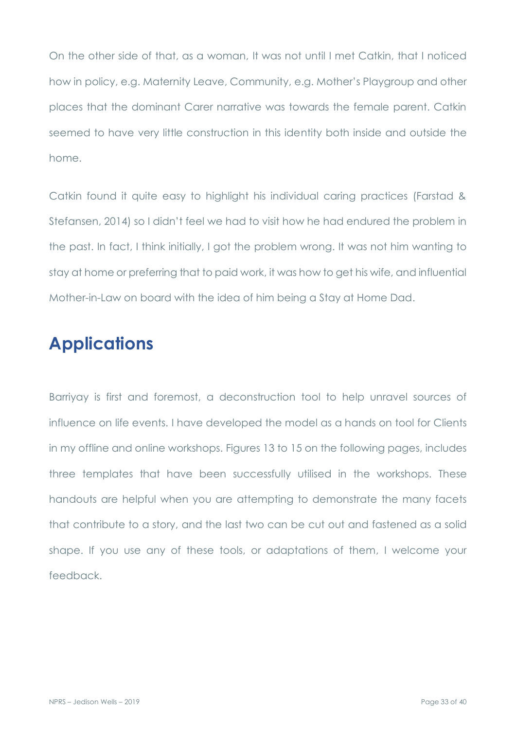On the other side of that, as a woman, It was not until I met Catkin, that I noticed how in policy, e.g. Maternity Leave, Community, e.g. Mother's Playgroup and other places that the dominant Carer narrative was towards the female parent. Catkin seemed to have very little construction in this identity both inside and outside the home.

Catkin found it quite easy to highlight his individual caring practices (Farstad & Stefansen, 2014) so I didn't feel we had to visit how he had endured the problem in the past. In fact, I think initially, I got the problem wrong. It was not him wanting to stay at home or preferring that to paid work, it was how to get his wife, and influential Mother-in-Law on board with the idea of him being a Stay at Home Dad.

# **Applications**

Barriyay is first and foremost, a deconstruction tool to help unravel sources of influence on life events. I have developed the model as a hands on tool for Clients in my offline and online workshops. Figures 13 to 15 on the following pages, includes three templates that have been successfully utilised in the workshops. These handouts are helpful when you are attempting to demonstrate the many facets that contribute to a story, and the last two can be cut out and fastened as a solid shape. If you use any of these tools, or adaptations of them, I welcome your feedback.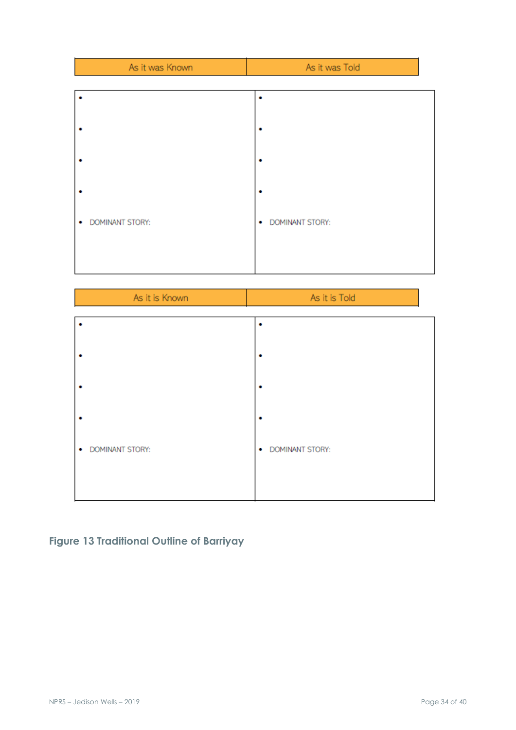| As it was Known             | As it was Told    |
|-----------------------------|-------------------|
|                             |                   |
|                             |                   |
|                             |                   |
|                             |                   |
|                             |                   |
|                             |                   |
| <b>DOMINANT STORY:</b><br>۰ | · DOMINANT STORY: |
|                             |                   |
|                             |                   |

| As it is Known              | As it is Told     |
|-----------------------------|-------------------|
|                             |                   |
|                             |                   |
| ٠                           |                   |
|                             |                   |
| <b>DOMINANT STORY:</b><br>۰ | · DOMINANT STORY: |
|                             |                   |

## **Figure 13 Traditional Outline of Barriyay**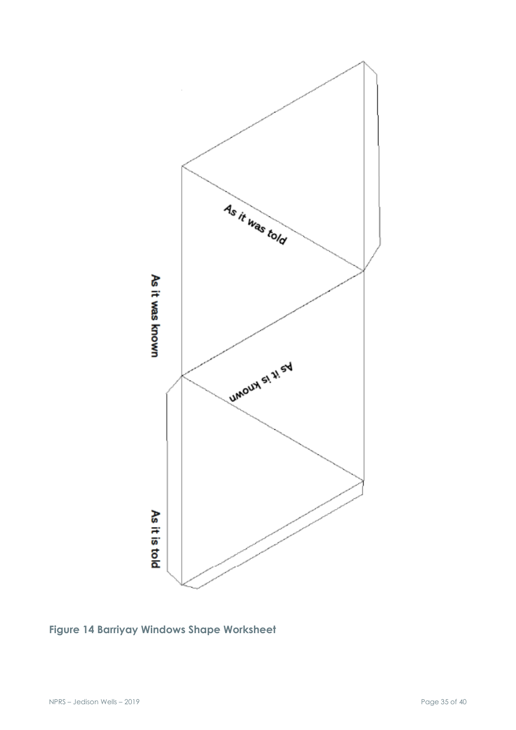

**Figure 14 Barriyay Windows Shape Worksheet**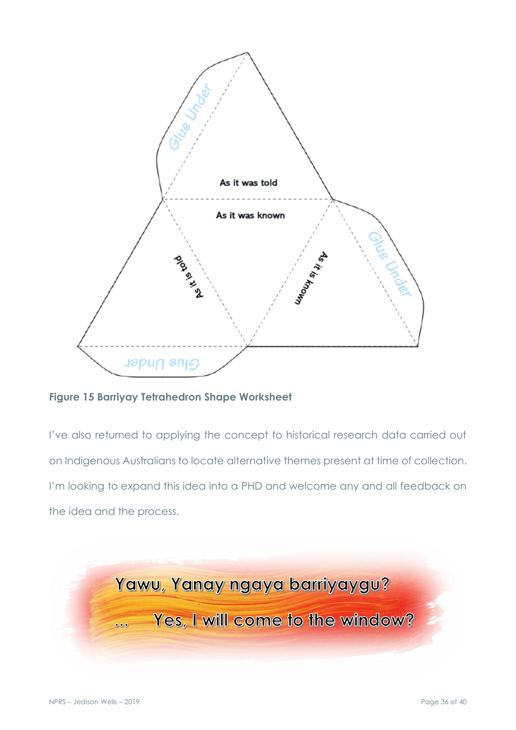

**Figure 15 Barriyay Tetrahedron Shape Worksheet**

I've also returned to applying the concept to historical research data carried out on Indigenous Australians to locate alternative themes present at time of collection. I'm looking to expand this idea into a PHD and welcome any and all feedback on the idea and the process.

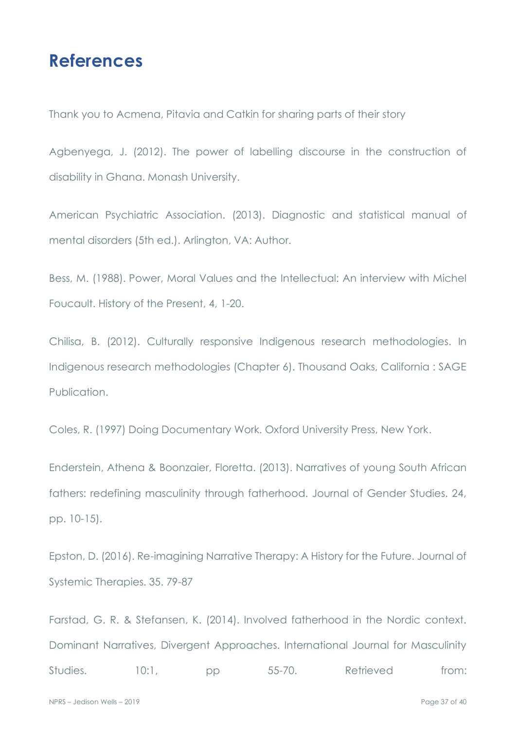# **References**

Thank you to Acmena, Pitavia and Catkin for sharing parts of their story

Agbenyega, J. (2012). The power of labelling discourse in the construction of disability in Ghana. Monash University.

American Psychiatric Association. (2013). Diagnostic and statistical manual of mental disorders (5th ed.). Arlington, VA: Author.

Bess, M. (1988). Power, Moral Values and the Intellectual: An interview with Michel Foucault. History of the Present, 4, 1-20.

Chilisa, B. (2012). Culturally responsive Indigenous research methodologies. In Indigenous research methodologies (Chapter 6). Thousand Oaks, California : SAGE Publication.

Coles, R. (1997) Doing Documentary Work. Oxford University Press, New York.

Enderstein, Athena & Boonzaier, Floretta. (2013). Narratives of young South African fathers: redefining masculinity through fatherhood. Journal of Gender Studies. 24, pp. 10-15).

Epston, D. (2016). Re-imagining Narrative Therapy: A History for the Future. Journal of Systemic Therapies. 35. 79-87

Farstad, G. R. & Stefansen, K. (2014). Involved fatherhood in the Nordic context. Dominant Narratives, Divergent Approaches. International Journal for Masculinity Studies. 10:1, pp 55-70. Retrieved from: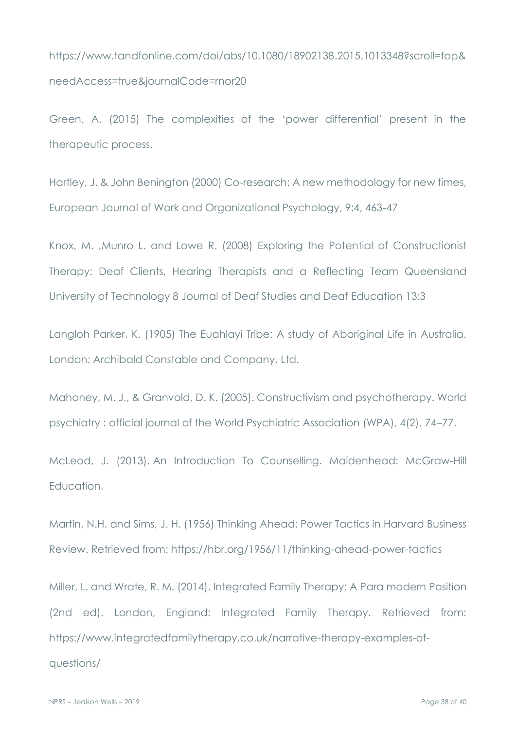https://www.tandfonline.com/doi/abs/10.1080/18902138.2015.1013348?scroll=top& needAccess=true&journalCode=rnor20

Green, A. (2015) The complexities of the 'power differential' present in the therapeutic process.

Hartley, J. & John Benington (2000) Co-research: A new methodology for new times, European Journal of Work and Organizational Psychology, 9:4, 463-47

Knox, M. ,Munro L. and Lowe R. (2008) Exploring the Potential of Constructionist Therapy: Deaf Clients, Hearing Therapists and a Reflecting Team Queensland University of Technology 8 Journal of Deaf Studies and Deaf Education 13:3

Langloh Parker, K. (1905) The Euahlayi Tribe: A study of Aboriginal Life in Australia. London: Archibald Constable and Company, Ltd.

Mahoney, M. J., & Granvold, D. K. (2005). Constructivism and psychotherapy. World psychiatry : official journal of the World Psychiatric Association (WPA), 4(2), 74–77.

McLeod, J. (2013). An Introduction To Counselling. Maidenhead: McGraw-Hill Education.

Martin, N.H. and Sims, J. H. (1956) Thinking Ahead: Power Tactics in Harvard Business Review. Retrieved from:<https://hbr.org/1956/11/thinking-ahead-power-tactics>

Miller, L. and Wrate, R. M. (2014). Integrated Family Therapy: A Para modern Position (2nd ed). London, England: Integrated Family Therapy. Retrieved from: https://www.integratedfamilytherapy.co.uk/narrative-therapy-examples-ofquestions/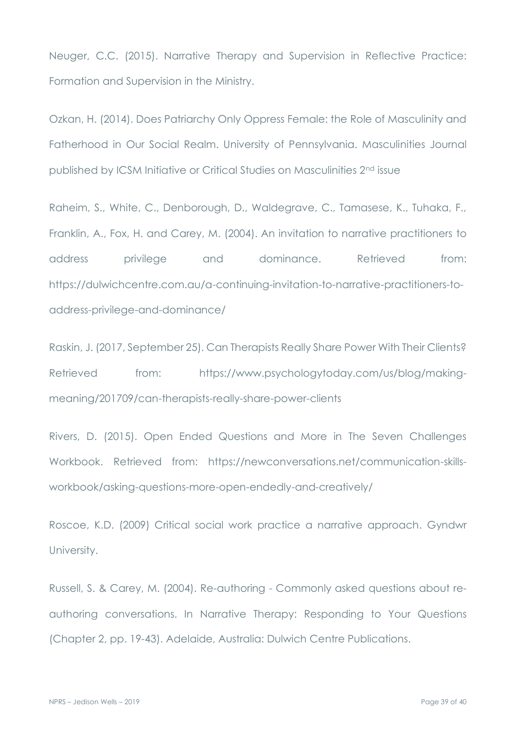Neuger, C.C. (2015). Narrative Therapy and Supervision in Reflective Practice: Formation and Supervision in the Ministry.

Ozkan, H. (2014). Does Patriarchy Only Oppress Female: the Role of Masculinity and Fatherhood in Our Social Realm. University of Pennsylvania. Masculinities Journal published by ICSM Initiative or Critical Studies on Masculinities 2nd issue

Raheim, S., White, C., Denborough, D., Waldegrave, C., Tamasese, K., Tuhaka, F., Franklin, A., Fox, H. and Carey, M. (2004). An invitation to narrative practitioners to address privilege and dominance. Retrieved from: https://dulwichcentre.com.au/a-continuing-invitation-to-narrative-practitioners-toaddress-privilege-and-dominance/

Raskin, J. (2017, September 25). Can Therapists Really Share Power With Their Clients? Retrieved from: [https://www.psychologytoday.com/us/blog/making](https://www.psychologytoday.com/us/blog/making-meaning/201709/can-therapists-really-share-power-clients)[meaning/201709/can-therapists-really-share-power-clients](https://www.psychologytoday.com/us/blog/making-meaning/201709/can-therapists-really-share-power-clients)

Rivers, D. (2015). Open Ended Questions and More in The Seven Challenges Workbook. Retrieved from: [https://newconversations.net/communication-skills](https://newconversations.net/communication-skills-workbook/asking-questions-more-open-endedly-and-creatively/)[workbook/asking-questions-more-open-endedly-and-creatively/](https://newconversations.net/communication-skills-workbook/asking-questions-more-open-endedly-and-creatively/)

Roscoe, K.D. (2009) Critical social work practice a narrative approach. Gyndwr University.

Russell, S. & Carey, M. (2004). Re-authoring - Commonly asked questions about reauthoring conversations. In Narrative Therapy: Responding to Your Questions (Chapter 2, pp. 19-43). Adelaide, Australia: Dulwich Centre Publications.